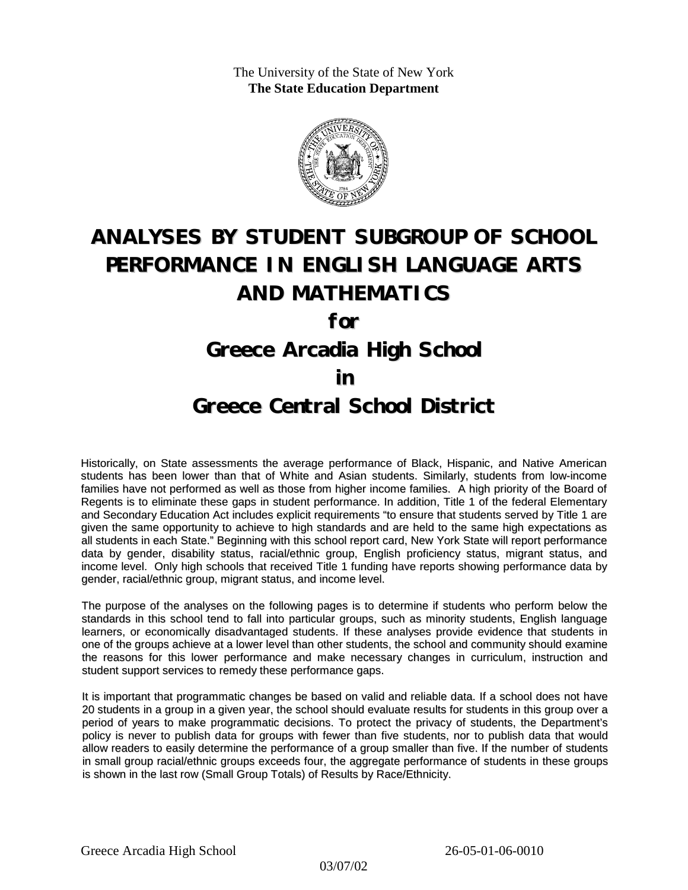The University of the State of New York **The State Education Department**



# **ANALYSES BY STUDENT SUBGROUP OF SCHOOL PERFORMANCE IN ENGLISH LANGUAGE ARTS AND MATHEMATICS**

**for**

## **Greece Arcadia High School**

### **in**

### **Greece Central School District**

Historically, on State assessments the average performance of Black, Hispanic, and Native American students has been lower than that of White and Asian students. Similarly, students from low-income families have not performed as well as those from higher income families. A high priority of the Board of Regents is to eliminate these gaps in student performance. In addition, Title 1 of the federal Elementary and Secondary Education Act includes explicit requirements "to ensure that students served by Title 1 are given the same opportunity to achieve to high standards and are held to the same high expectations as all students in each State." Beginning with this school report card, New York State will report performance data by gender, disability status, racial/ethnic group, English proficiency status, migrant status, and income level. Only high schools that received Title 1 funding have reports showing performance data by gender, racial/ethnic group, migrant status, and income level.

The purpose of the analyses on the following pages is to determine if students who perform below the standards in this school tend to fall into particular groups, such as minority students, English language learners, or economically disadvantaged students. If these analyses provide evidence that students in one of the groups achieve at a lower level than other students, the school and community should examine the reasons for this lower performance and make necessary changes in curriculum, instruction and student support services to remedy these performance gaps.

It is important that programmatic changes be based on valid and reliable data. If a school does not have 20 students in a group in a given year, the school should evaluate results for students in this group over a period of years to make programmatic decisions. To protect the privacy of students, the Department's policy is never to publish data for groups with fewer than five students, nor to publish data that would allow readers to easily determine the performance of a group smaller than five. If the number of students in small group racial/ethnic groups exceeds four, the aggregate performance of students in these groups is shown in the last row (Small Group Totals) of Results by Race/Ethnicity.